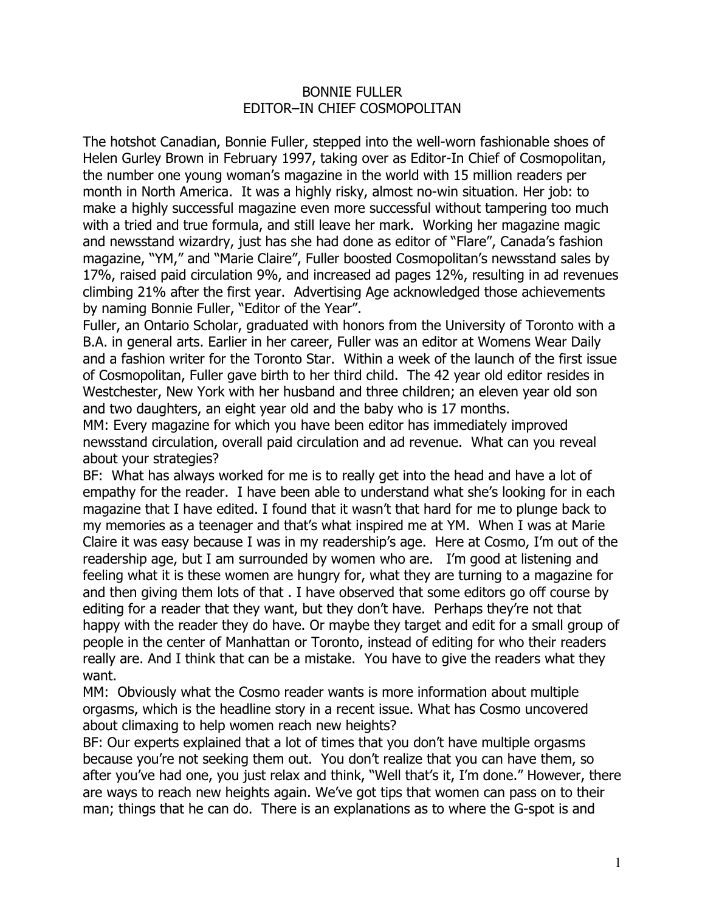## BONNIE FULLER EDITOR–IN CHIEF COSMOPOLITAN

The hotshot Canadian, Bonnie Fuller, stepped into the well-worn fashionable shoes of Helen Gurley Brown in February 1997, taking over as Editor-In Chief of Cosmopolitan, the number one young woman's magazine in the world with 15 million readers per month in North America. It was a highly risky, almost no-win situation. Her job: to make a highly successful magazine even more successful without tampering too much with a tried and true formula, and still leave her mark. Working her magazine magic and newsstand wizardry, just has she had done as editor of "Flare", Canada's fashion magazine, "YM," and "Marie Claire", Fuller boosted Cosmopolitan's newsstand sales by 17%, raised paid circulation 9%, and increased ad pages 12%, resulting in ad revenues climbing 21% after the first year. Advertising Age acknowledged those achievements by naming Bonnie Fuller, "Editor of the Year".

Fuller, an Ontario Scholar, graduated with honors from the University of Toronto with a B.A. in general arts. Earlier in her career, Fuller was an editor at Womens Wear Daily and a fashion writer for the Toronto Star. Within a week of the launch of the first issue of Cosmopolitan, Fuller gave birth to her third child. The 42 year old editor resides in Westchester, New York with her husband and three children; an eleven year old son and two daughters, an eight year old and the baby who is 17 months.

MM: Every magazine for which you have been editor has immediately improved newsstand circulation, overall paid circulation and ad revenue. What can you reveal about your strategies?

BF: What has always worked for me is to really get into the head and have a lot of empathy for the reader. I have been able to understand what she's looking for in each magazine that I have edited. I found that it wasn't that hard for me to plunge back to my memories as a teenager and that's what inspired me at YM. When I was at Marie Claire it was easy because I was in my readership's age. Here at Cosmo, I'm out of the readership age, but I am surrounded by women who are. I'm good at listening and feeling what it is these women are hungry for, what they are turning to a magazine for and then giving them lots of that . I have observed that some editors go off course by editing for a reader that they want, but they don't have. Perhaps they're not that happy with the reader they do have. Or maybe they target and edit for a small group of people in the center of Manhattan or Toronto, instead of editing for who their readers really are. And I think that can be a mistake. You have to give the readers what they want.

MM: Obviously what the Cosmo reader wants is more information about multiple orgasms, which is the headline story in a recent issue. What has Cosmo uncovered about climaxing to help women reach new heights?

BF: Our experts explained that a lot of times that you don't have multiple orgasms because you're not seeking them out. You don't realize that you can have them, so after you've had one, you just relax and think, "Well that's it, I'm done." However, there are ways to reach new heights again. We've got tips that women can pass on to their man; things that he can do. There is an explanations as to where the G-spot is and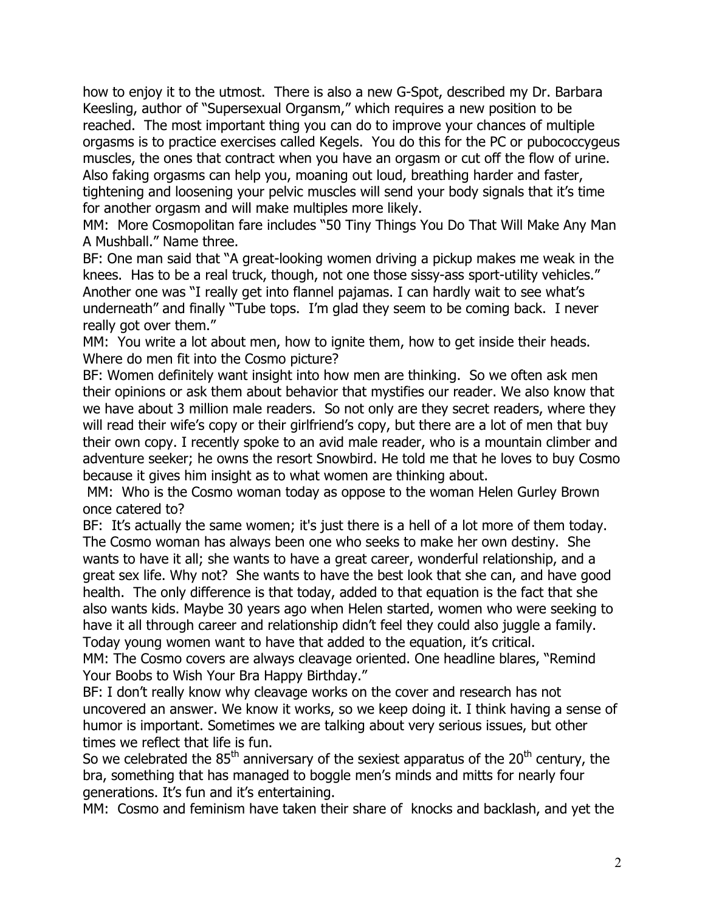how to enjoy it to the utmost. There is also a new G-Spot, described my Dr. Barbara Keesling, author of "Supersexual Organsm," which requires a new position to be reached. The most important thing you can do to improve your chances of multiple orgasms is to practice exercises called Kegels. You do this for the PC or pubococcygeus muscles, the ones that contract when you have an orgasm or cut off the flow of urine. Also faking orgasms can help you, moaning out loud, breathing harder and faster, tightening and loosening your pelvic muscles will send your body signals that it's time for another orgasm and will make multiples more likely.

MM: More Cosmopolitan fare includes "50 Tiny Things You Do That Will Make Any Man A Mushball." Name three.

BF: One man said that "A great-looking women driving a pickup makes me weak in the knees. Has to be a real truck, though, not one those sissy-ass sport-utility vehicles." Another one was "I really get into flannel pajamas. I can hardly wait to see what's underneath" and finally "Tube tops. I'm glad they seem to be coming back. I never really got over them."

MM: You write a lot about men, how to ignite them, how to get inside their heads. Where do men fit into the Cosmo picture?

BF: Women definitely want insight into how men are thinking. So we often ask men their opinions or ask them about behavior that mystifies our reader. We also know that we have about 3 million male readers. So not only are they secret readers, where they will read their wife's copy or their girlfriend's copy, but there are a lot of men that buy their own copy. I recently spoke to an avid male reader, who is a mountain climber and adventure seeker; he owns the resort Snowbird. He told me that he loves to buy Cosmo because it gives him insight as to what women are thinking about.

MM: Who is the Cosmo woman today as oppose to the woman Helen Gurley Brown once catered to?

BF: It's actually the same women; it's just there is a hell of a lot more of them today. The Cosmo woman has always been one who seeks to make her own destiny. She wants to have it all; she wants to have a great career, wonderful relationship, and a great sex life. Why not? She wants to have the best look that she can, and have good health. The only difference is that today, added to that equation is the fact that she also wants kids. Maybe 30 years ago when Helen started, women who were seeking to have it all through career and relationship didn't feel they could also juggle a family. Today young women want to have that added to the equation, it's critical.

MM: The Cosmo covers are always cleavage oriented. One headline blares, "Remind Your Boobs to Wish Your Bra Happy Birthday."

BF: I don't really know why cleavage works on the cover and research has not uncovered an answer. We know it works, so we keep doing it. I think having a sense of humor is important. Sometimes we are talking about very serious issues, but other times we reflect that life is fun.

So we celebrated the  $85<sup>th</sup>$  anniversary of the sexiest apparatus of the  $20<sup>th</sup>$  century, the bra, something that has managed to boggle men's minds and mitts for nearly four generations. It's fun and it's entertaining.

MM: Cosmo and feminism have taken their share of knocks and backlash, and yet the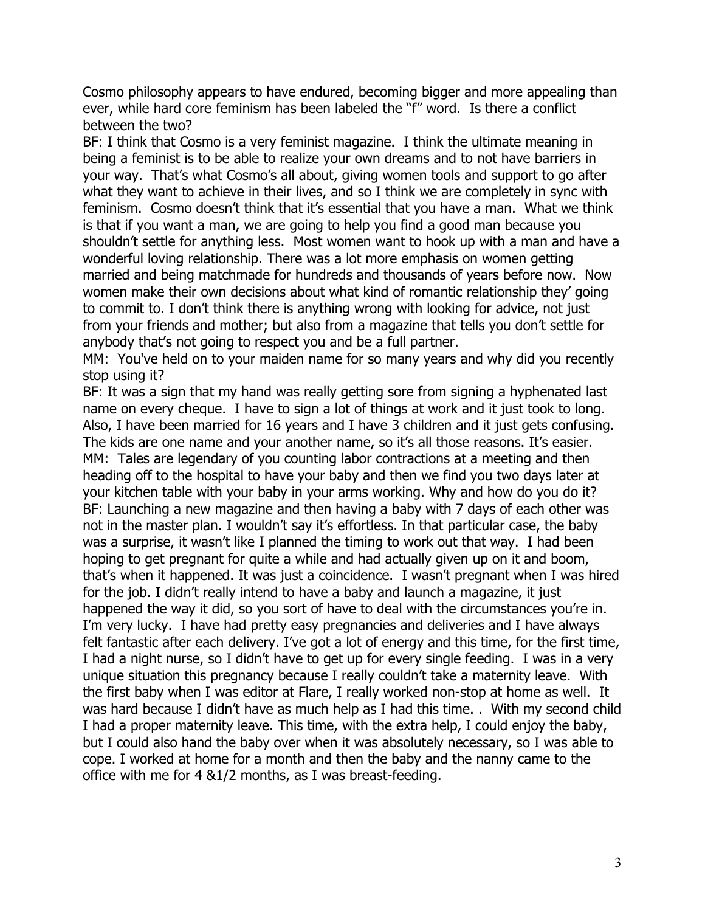Cosmo philosophy appears to have endured, becoming bigger and more appealing than ever, while hard core feminism has been labeled the "f" word. Is there a conflict between the two?

BF: I think that Cosmo is a very feminist magazine. I think the ultimate meaning in being a feminist is to be able to realize your own dreams and to not have barriers in your way. That's what Cosmo's all about, giving women tools and support to go after what they want to achieve in their lives, and so I think we are completely in sync with feminism. Cosmo doesn't think that it's essential that you have a man. What we think is that if you want a man, we are going to help you find a good man because you shouldn't settle for anything less. Most women want to hook up with a man and have a wonderful loving relationship. There was a lot more emphasis on women getting married and being matchmade for hundreds and thousands of years before now. Now women make their own decisions about what kind of romantic relationship they' going to commit to. I don't think there is anything wrong with looking for advice, not just from your friends and mother; but also from a magazine that tells you don't settle for anybody that's not going to respect you and be a full partner.

MM: You've held on to your maiden name for so many years and why did you recently stop using it?

BF: It was a sign that my hand was really getting sore from signing a hyphenated last name on every cheque. I have to sign a lot of things at work and it just took to long. Also, I have been married for 16 years and I have 3 children and it just gets confusing. The kids are one name and your another name, so it's all those reasons. It's easier. MM: Tales are legendary of you counting labor contractions at a meeting and then heading off to the hospital to have your baby and then we find you two days later at your kitchen table with your baby in your arms working. Why and how do you do it? BF: Launching a new magazine and then having a baby with 7 days of each other was not in the master plan. I wouldn't say it's effortless. In that particular case, the baby was a surprise, it wasn't like I planned the timing to work out that way. I had been hoping to get pregnant for quite a while and had actually given up on it and boom, that's when it happened. It was just a coincidence. I wasn't pregnant when I was hired for the job. I didn't really intend to have a baby and launch a magazine, it just happened the way it did, so you sort of have to deal with the circumstances you're in. I'm very lucky. I have had pretty easy pregnancies and deliveries and I have always felt fantastic after each delivery. I've got a lot of energy and this time, for the first time, I had a night nurse, so I didn't have to get up for every single feeding. I was in a very unique situation this pregnancy because I really couldn't take a maternity leave. With the first baby when I was editor at Flare, I really worked non-stop at home as well. It was hard because I didn't have as much help as I had this time. . With my second child I had a proper maternity leave. This time, with the extra help, I could enjoy the baby, but I could also hand the baby over when it was absolutely necessary, so I was able to cope. I worked at home for a month and then the baby and the nanny came to the office with me for 4 &1/2 months, as I was breast-feeding.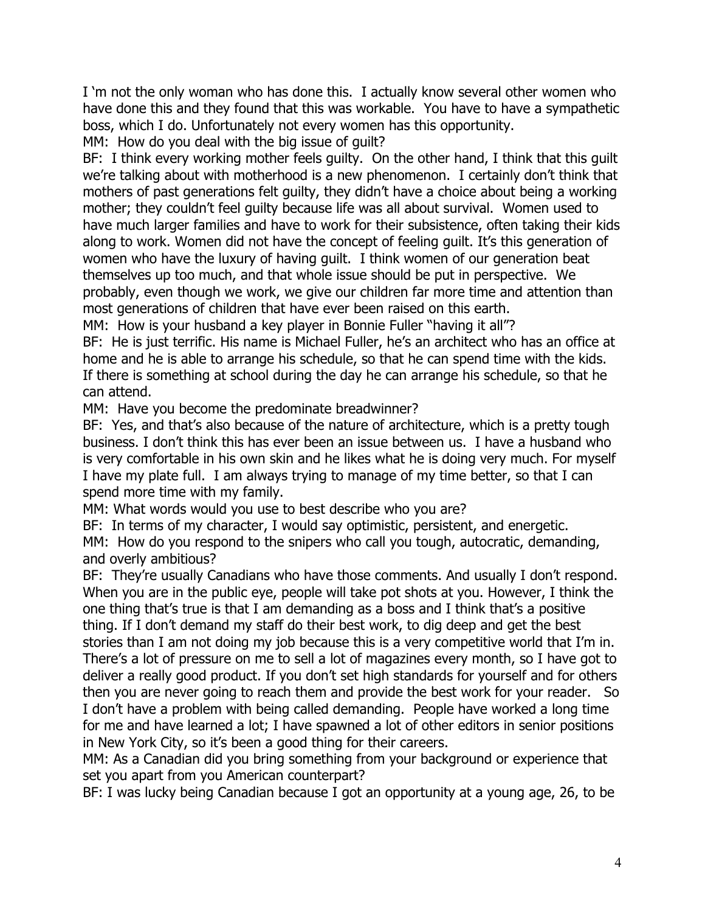I 'm not the only woman who has done this. I actually know several other women who have done this and they found that this was workable. You have to have a sympathetic boss, which I do. Unfortunately not every women has this opportunity.

MM: How do you deal with the big issue of quilt?

BF: I think every working mother feels guilty. On the other hand, I think that this guilt we're talking about with motherhood is a new phenomenon. I certainly don't think that mothers of past generations felt guilty, they didn't have a choice about being a working mother; they couldn't feel guilty because life was all about survival. Women used to have much larger families and have to work for their subsistence, often taking their kids along to work. Women did not have the concept of feeling guilt. It's this generation of women who have the luxury of having guilt. I think women of our generation beat themselves up too much, and that whole issue should be put in perspective. We probably, even though we work, we give our children far more time and attention than most generations of children that have ever been raised on this earth.

MM: How is your husband a key player in Bonnie Fuller "having it all"?

BF: He is just terrific. His name is Michael Fuller, he's an architect who has an office at home and he is able to arrange his schedule, so that he can spend time with the kids. If there is something at school during the day he can arrange his schedule, so that he can attend.

MM: Have you become the predominate breadwinner?

BF: Yes, and that's also because of the nature of architecture, which is a pretty tough business. I don't think this has ever been an issue between us. I have a husband who is very comfortable in his own skin and he likes what he is doing very much. For myself I have my plate full. I am always trying to manage of my time better, so that I can spend more time with my family.

MM: What words would you use to best describe who you are?

BF: In terms of my character, I would say optimistic, persistent, and energetic. MM: How do you respond to the snipers who call you tough, autocratic, demanding, and overly ambitious?

BF: They're usually Canadians who have those comments. And usually I don't respond. When you are in the public eye, people will take pot shots at you. However, I think the one thing that's true is that I am demanding as a boss and I think that's a positive thing. If I don't demand my staff do their best work, to dig deep and get the best stories than I am not doing my job because this is a very competitive world that I'm in. There's a lot of pressure on me to sell a lot of magazines every month, so I have got to deliver a really good product. If you don't set high standards for yourself and for others then you are never going to reach them and provide the best work for your reader. So I don't have a problem with being called demanding. People have worked a long time for me and have learned a lot; I have spawned a lot of other editors in senior positions in New York City, so it's been a good thing for their careers.

MM: As a Canadian did you bring something from your background or experience that set you apart from you American counterpart?

BF: I was lucky being Canadian because I got an opportunity at a young age, 26, to be